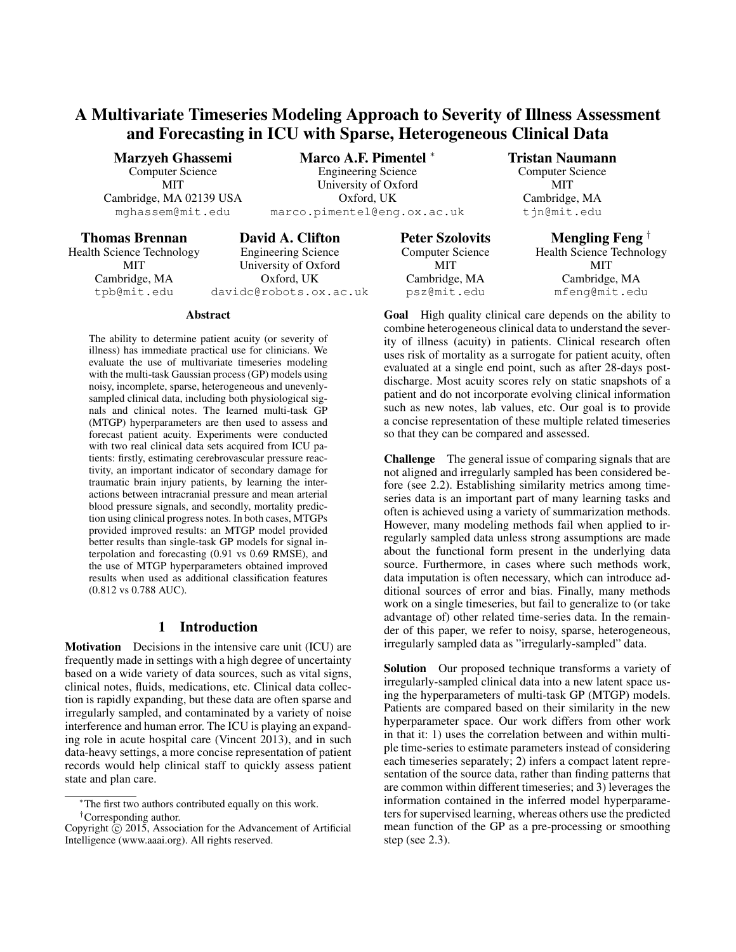# A Multivariate Timeseries Modeling Approach to Severity of Illness Assessment and Forecasting in ICU with Sparse, Heterogeneous Clinical Data

Marzyeh Ghassemi Computer Science MIT Cambridge, MA 02139 USA mghassem@mit.edu

Marco A.F. Pimentel <sup>∗</sup> Engineering Science University of Oxford Oxford, UK marco.pimentel@eng.ox.ac.uk

### Thomas Brennan

Health Science Technology MIT Cambridge, MA tpb@mit.edu

David A. Clifton Engineering Science University of Oxford Oxford, UK davidc@robots.ox.ac.uk

#### Abstract

The ability to determine patient acuity (or severity of illness) has immediate practical use for clinicians. We evaluate the use of multivariate timeseries modeling with the multi-task Gaussian process (GP) models using noisy, incomplete, sparse, heterogeneous and unevenlysampled clinical data, including both physiological signals and clinical notes. The learned multi-task GP (MTGP) hyperparameters are then used to assess and forecast patient acuity. Experiments were conducted with two real clinical data sets acquired from ICU patients: firstly, estimating cerebrovascular pressure reactivity, an important indicator of secondary damage for traumatic brain injury patients, by learning the interactions between intracranial pressure and mean arterial blood pressure signals, and secondly, mortality prediction using clinical progress notes. In both cases, MTGPs provided improved results: an MTGP model provided better results than single-task GP models for signal interpolation and forecasting (0.91 vs 0.69 RMSE), and the use of MTGP hyperparameters obtained improved results when used as additional classification features (0.812 vs 0.788 AUC).

## 1 Introduction

Motivation Decisions in the intensive care unit (ICU) are frequently made in settings with a high degree of uncertainty based on a wide variety of data sources, such as vital signs, clinical notes, fluids, medications, etc. Clinical data collection is rapidly expanding, but these data are often sparse and irregularly sampled, and contaminated by a variety of noise interference and human error. The ICU is playing an expanding role in acute hospital care (Vincent 2013), and in such data-heavy settings, a more concise representation of patient records would help clinical staff to quickly assess patient state and plan care.

Peter Szolovits Computer Science MIT Cambridge, MA psz@mit.edu

Tristan Naumann Computer Science MIT Cambridge, MA tjn@mit.edu

> Mengling Feng † Health Science Technology MIT Cambridge, MA mfeng@mit.edu

Goal High quality clinical care depends on the ability to combine heterogeneous clinical data to understand the severity of illness (acuity) in patients. Clinical research often uses risk of mortality as a surrogate for patient acuity, often evaluated at a single end point, such as after 28-days postdischarge. Most acuity scores rely on static snapshots of a patient and do not incorporate evolving clinical information such as new notes, lab values, etc. Our goal is to provide a concise representation of these multiple related timeseries so that they can be compared and assessed.

Challenge The general issue of comparing signals that are not aligned and irregularly sampled has been considered before (see 2.2). Establishing similarity metrics among timeseries data is an important part of many learning tasks and often is achieved using a variety of summarization methods. However, many modeling methods fail when applied to irregularly sampled data unless strong assumptions are made about the functional form present in the underlying data source. Furthermore, in cases where such methods work, data imputation is often necessary, which can introduce additional sources of error and bias. Finally, many methods work on a single timeseries, but fail to generalize to (or take advantage of) other related time-series data. In the remainder of this paper, we refer to noisy, sparse, heterogeneous, irregularly sampled data as "irregularly-sampled" data.

Solution Our proposed technique transforms a variety of irregularly-sampled clinical data into a new latent space using the hyperparameters of multi-task GP (MTGP) models. Patients are compared based on their similarity in the new hyperparameter space. Our work differs from other work in that it: 1) uses the correlation between and within multiple time-series to estimate parameters instead of considering each timeseries separately; 2) infers a compact latent representation of the source data, rather than finding patterns that are common within different timeseries; and 3) leverages the information contained in the inferred model hyperparameters for supervised learning, whereas others use the predicted mean function of the GP as a pre-processing or smoothing step (see 2.3).

<sup>∗</sup>The first two authors contributed equally on this work. †Corresponding author.

Copyright  $\hat{C}$  2015, Association for the Advancement of Artificial Intelligence (www.aaai.org). All rights reserved.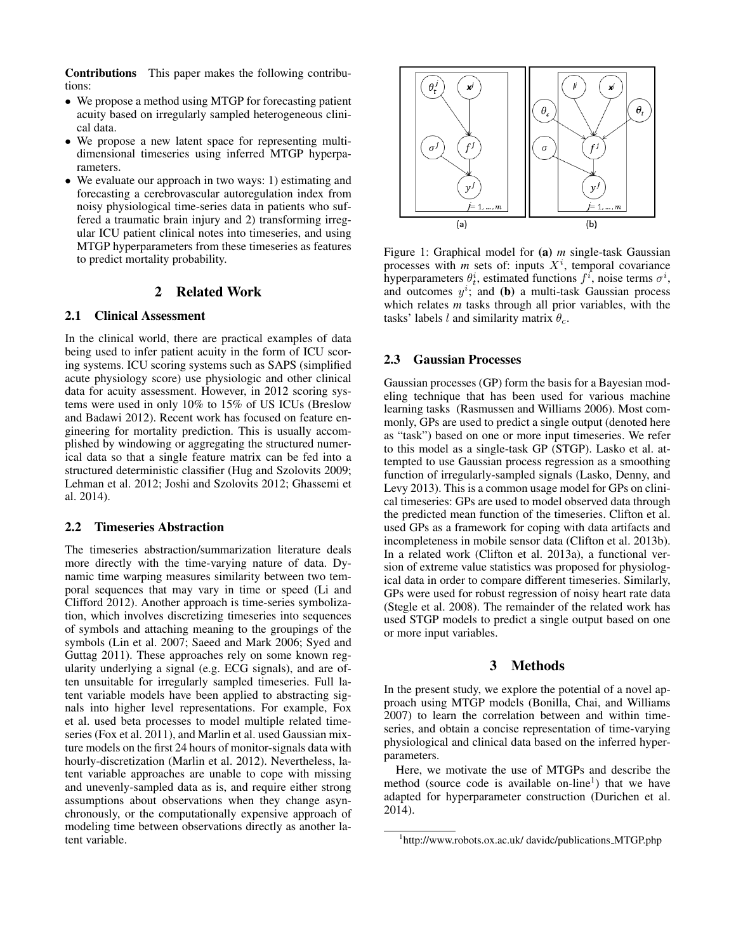Contributions This paper makes the following contributions:

- We propose a method using MTGP for forecasting patient acuity based on irregularly sampled heterogeneous clinical data.
- We propose a new latent space for representing multidimensional timeseries using inferred MTGP hyperparameters.
- We evaluate our approach in two ways: 1) estimating and forecasting a cerebrovascular autoregulation index from noisy physiological time-series data in patients who suffered a traumatic brain injury and 2) transforming irregular ICU patient clinical notes into timeseries, and using MTGP hyperparameters from these timeseries as features to predict mortality probability.

# 2 Related Work

# 2.1 Clinical Assessment

In the clinical world, there are practical examples of data being used to infer patient acuity in the form of ICU scoring systems. ICU scoring systems such as SAPS (simplified acute physiology score) use physiologic and other clinical data for acuity assessment. However, in 2012 scoring systems were used in only 10% to 15% of US ICUs (Breslow and Badawi 2012). Recent work has focused on feature engineering for mortality prediction. This is usually accomplished by windowing or aggregating the structured numerical data so that a single feature matrix can be fed into a structured deterministic classifier (Hug and Szolovits 2009; Lehman et al. 2012; Joshi and Szolovits 2012; Ghassemi et al. 2014).

#### 2.2 Timeseries Abstraction

The timeseries abstraction/summarization literature deals more directly with the time-varying nature of data. Dynamic time warping measures similarity between two temporal sequences that may vary in time or speed (Li and Clifford 2012). Another approach is time-series symbolization, which involves discretizing timeseries into sequences of symbols and attaching meaning to the groupings of the symbols (Lin et al. 2007; Saeed and Mark 2006; Syed and Guttag 2011). These approaches rely on some known regularity underlying a signal (e.g. ECG signals), and are often unsuitable for irregularly sampled timeseries. Full latent variable models have been applied to abstracting signals into higher level representations. For example, Fox et al. used beta processes to model multiple related timeseries (Fox et al. 2011), and Marlin et al. used Gaussian mixture models on the first 24 hours of monitor-signals data with hourly-discretization (Marlin et al. 2012). Nevertheless, latent variable approaches are unable to cope with missing and unevenly-sampled data as is, and require either strong assumptions about observations when they change asynchronously, or the computationally expensive approach of modeling time between observations directly as another latent variable.



Figure 1: Graphical model for (a) *m* single-task Gaussian processes with  $m$  sets of: inputs  $X<sup>i</sup>$ , temporal covariance hyperparameters  $\theta_t^i$ , estimated functions  $f^i$ , noise terms  $\sigma^i$ , and outcomes  $y^i$ ; and (b) a multi-task Gaussian process which relates *m* tasks through all prior variables, with the tasks' labels l and similarity matrix  $\theta_c$ .

#### 2.3 Gaussian Processes

Gaussian processes (GP) form the basis for a Bayesian modeling technique that has been used for various machine learning tasks (Rasmussen and Williams 2006). Most commonly, GPs are used to predict a single output (denoted here as "task") based on one or more input timeseries. We refer to this model as a single-task GP (STGP). Lasko et al. attempted to use Gaussian process regression as a smoothing function of irregularly-sampled signals (Lasko, Denny, and Levy 2013). This is a common usage model for GPs on clinical timeseries: GPs are used to model observed data through the predicted mean function of the timeseries. Clifton et al. used GPs as a framework for coping with data artifacts and incompleteness in mobile sensor data (Clifton et al. 2013b). In a related work (Clifton et al. 2013a), a functional version of extreme value statistics was proposed for physiological data in order to compare different timeseries. Similarly, GPs were used for robust regression of noisy heart rate data (Stegle et al. 2008). The remainder of the related work has used STGP models to predict a single output based on one or more input variables.

## 3 Methods

In the present study, we explore the potential of a novel approach using MTGP models (Bonilla, Chai, and Williams 2007) to learn the correlation between and within timeseries, and obtain a concise representation of time-varying physiological and clinical data based on the inferred hyperparameters.

Here, we motivate the use of MTGPs and describe the method (source code is available on-line<sup>1</sup>) that we have adapted for hyperparameter construction (Durichen et al. 2014).

<sup>&</sup>lt;sup>1</sup>http://www.robots.ox.ac.uk/ davidc/publications\_MTGP.php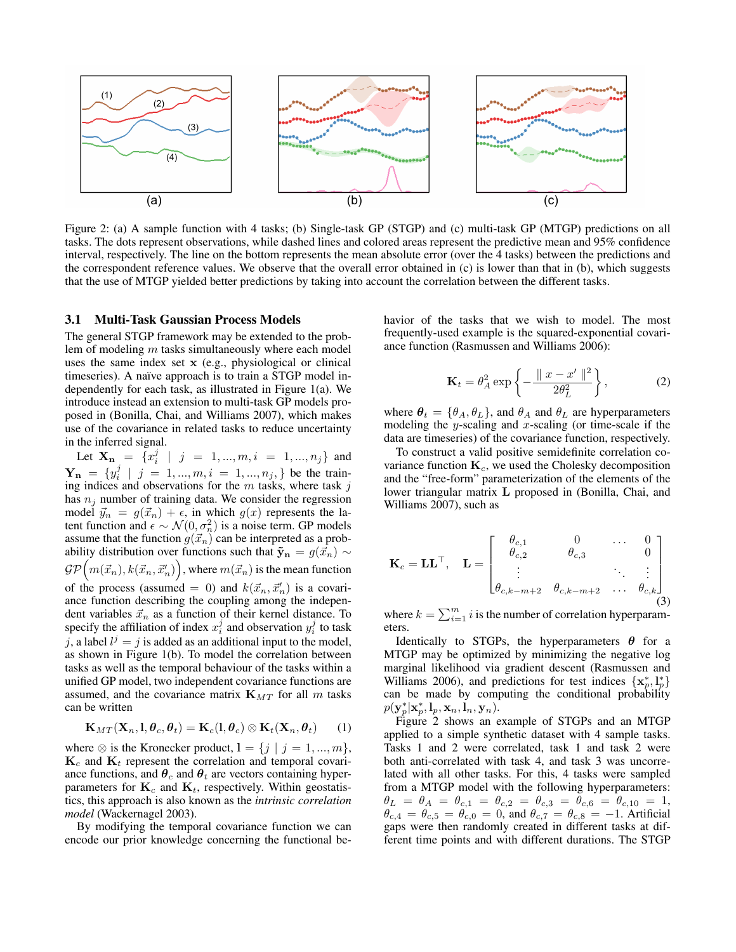

Figure 2: (a) A sample function with 4 tasks; (b) Single-task GP (STGP) and (c) multi-task GP (MTGP) predictions on all tasks. The dots represent observations, while dashed lines and colored areas represent the predictive mean and 95% confidence interval, respectively. The line on the bottom represents the mean absolute error (over the 4 tasks) between the predictions and the correspondent reference values. We observe that the overall error obtained in (c) is lower than that in (b), which suggests that the use of MTGP yielded better predictions by taking into account the correlation between the different tasks.

#### 3.1 Multi-Task Gaussian Process Models

The general STGP framework may be extended to the problem of modeling m tasks simultaneously where each model uses the same index set x (e.g., physiological or clinical timeseries). A naïve approach is to train a STGP model independently for each task, as illustrated in Figure 1(a). We introduce instead an extension to multi-task GP models proposed in (Bonilla, Chai, and Williams 2007), which makes use of the covariance in related tasks to reduce uncertainty in the inferred signal.

Let  $\mathbf{X}_{\mathbf{n}} = \{x_i^j \mid j = 1, ..., m, i = 1, ..., n_j\}$  and  $\mathbf{Y_n} = \{y_i^j \mid j = 1, ..., m, i = 1, ..., n_j\}$  be the training indices and observations for the  $m$  tasks, where task  $j$ has  $n_j$  number of training data. We consider the regression model  $\vec{y}_n = g(\vec{x}_n) + \epsilon$ , in which  $g(x)$  represents the latent function and  $\epsilon \sim \mathcal{N}(0, \sigma_n^2)$  is a noise term. GP models assume that the function  $g(\vec{x}_n)$  can be interpreted as a probability distribution over functions such that  $\tilde{\mathbf{y}}_{n} = g(\vec{x}_{n}) \sim$  $\mathcal{GP}\Big(m(\vec{x}_n), k(\vec{x}_n, \vec{x}'_n)\Big),$  where  $m(\vec{x}_n)$  is the mean function of the process (assumed = 0) and  $k(\vec{x}_n, \vec{x}'_n)$  is a covariance function describing the coupling among the independent variables  $\vec{x}_n$  as a function of their kernel distance. To specify the affiliation of index  $x_i^j$  and observation  $y_i^j$  to task j, a label  $l^j = j$  is added as an additional input to the model, as shown in Figure 1(b). To model the correlation between tasks as well as the temporal behaviour of the tasks within a unified GP model, two independent covariance functions are assumed, and the covariance matrix  $\mathbf{K}_{MT}$  for all m tasks can be written

$$
\mathbf{K}_{MT}(\mathbf{X}_n, \mathbf{l}, \boldsymbol{\theta}_c, \boldsymbol{\theta}_t) = \mathbf{K}_c(\mathbf{l}, \boldsymbol{\theta}_c) \otimes \mathbf{K}_t(\mathbf{X}_n, \boldsymbol{\theta}_t) \qquad (1)
$$

where  $\otimes$  is the Kronecker product,  $l = \{j \mid j = 1, ..., m\},$  $K_c$  and  $K_t$  represent the correlation and temporal covariance functions, and  $\theta_c$  and  $\theta_t$  are vectors containing hyperparameters for  $\mathbf{K}_c$  and  $\mathbf{K}_t$ , respectively. Within geostatistics, this approach is also known as the *intrinsic correlation model* (Wackernagel 2003).

By modifying the temporal covariance function we can encode our prior knowledge concerning the functional behavior of the tasks that we wish to model. The most frequently-used example is the squared-exponential covariance function (Rasmussen and Williams 2006):

$$
\mathbf{K}_t = \theta_A^2 \exp\left\{-\frac{\|x - x'\|^2}{2\theta_L^2}\right\},\tag{2}
$$

where  $\theta_t = {\theta_A, \theta_L}$ , and  $\theta_A$  and  $\theta_L$  are hyperparameters modeling the y-scaling and x-scaling (or time-scale if the data are timeseries) of the covariance function, respectively.

To construct a valid positive semidefinite correlation covariance function  $K_c$ , we used the Cholesky decomposition and the "free-form" parameterization of the elements of the lower triangular matrix L proposed in (Bonilla, Chai, and Williams 2007), such as

$$
\mathbf{K}_{c} = \mathbf{L}\mathbf{L}^{\top}, \quad \mathbf{L} = \begin{bmatrix} \theta_{c,1} & 0 & \cdots & 0 \\ \theta_{c,2} & \theta_{c,3} & & 0 \\ \vdots & & \ddots & \vdots \\ \theta_{c,k-m+2} & \theta_{c,k-m+2} & \cdots & \theta_{c,k} \end{bmatrix}
$$
(3)

where  $k = \sum_{i=1}^{m} i$  is the number of correlation hyperparameters.

Identically to STGPs, the hyperparameters  $\theta$  for a MTGP may be optimized by minimizing the negative log marginal likelihood via gradient descent (Rasmussen and Williams 2006), and predictions for test indices  $\{x_p^*, l_p^*\}$ can be made by computing the conditional probability  $p(\mathbf{y}^*_p|\mathbf{x}^*_p,\mathbf{l}_p,\mathbf{x}_n,\dot{\mathbf{l}}_n,\mathbf{y}_n).$ 

Figure 2 shows an example of STGPs and an MTGP applied to a simple synthetic dataset with 4 sample tasks. Tasks 1 and 2 were correlated, task 1 and task 2 were both anti-correlated with task 4, and task 3 was uncorrelated with all other tasks. For this, 4 tasks were sampled from a MTGP model with the following hyperparameters:  $\theta_L \; = \; \theta_A \; = \; \theta_{c,1} \; = \; \theta_{c,2} \; = \; \theta_{c,3} \; = \; \theta_{c,6} \; = \; \theta_{c,10} \; = \; 1,$  $\theta_{c,4} = \theta_{c,5} = \theta_{c,0} = 0$ , and  $\theta_{c,7} = \theta_{c,8} = -1$ . Artificial gaps were then randomly created in different tasks at different time points and with different durations. The STGP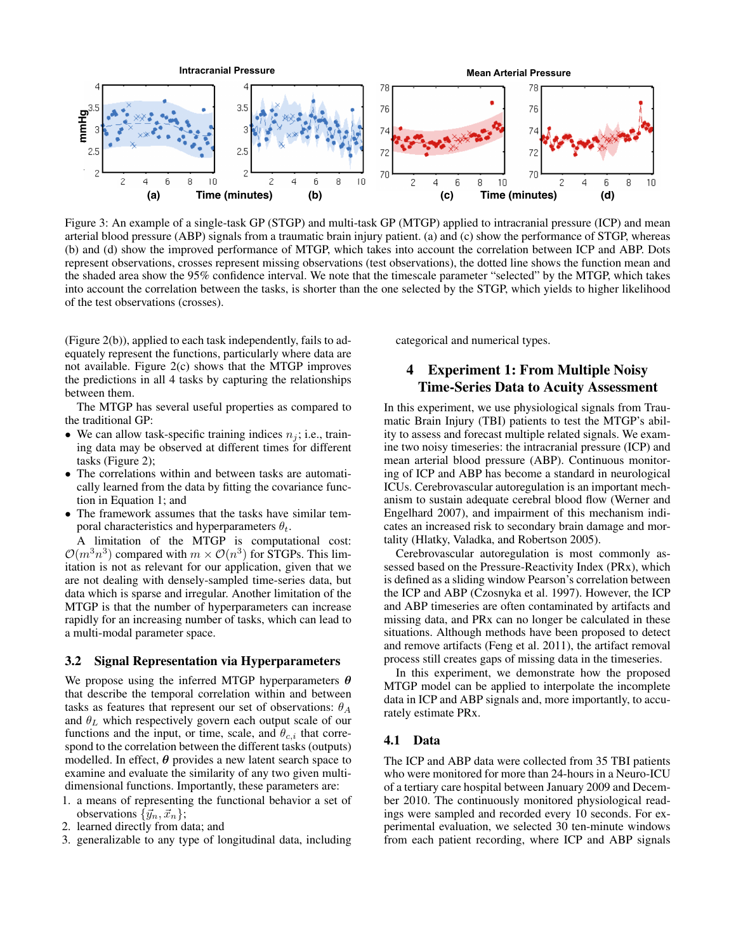

Figure 3: An example of a single-task GP (STGP) and multi-task GP (MTGP) applied to intracranial pressure (ICP) and mean arterial blood pressure (ABP) signals from a traumatic brain injury patient. (a) and (c) show the performance of STGP, whereas (b) and (d) show the improved performance of MTGP, which takes into account the correlation between ICP and ABP. Dots represent observations, crosses represent missing observations (test observations), the dotted line shows the function mean and the shaded area show the 95% confidence interval. We note that the timescale parameter "selected" by the MTGP, which takes into account the correlation between the tasks, is shorter than the one selected by the STGP, which yields to higher likelihood of the test observations (crosses).

(Figure 2(b)), applied to each task independently, fails to adequately represent the functions, particularly where data are not available. Figure  $2(c)$  shows that the MTGP improves the predictions in all 4 tasks by capturing the relationships between them.

The MTGP has several useful properties as compared to the traditional GP:

- We can allow task-specific training indices  $n<sub>i</sub>$ ; i.e., training data may be observed at different times for different tasks (Figure 2);
- The correlations within and between tasks are automatically learned from the data by fitting the covariance function in Equation 1; and
- The framework assumes that the tasks have similar temporal characteristics and hyperparameters  $\theta_t$ .

A limitation of the MTGP is computational cost:  $\mathcal{O}(m^3n^3)$  compared with  $m \times \mathcal{O}(n^3)$  for STGPs. This limitation is not as relevant for our application, given that we are not dealing with densely-sampled time-series data, but data which is sparse and irregular. Another limitation of the MTGP is that the number of hyperparameters can increase rapidly for an increasing number of tasks, which can lead to a multi-modal parameter space.

# 3.2 Signal Representation via Hyperparameters

We propose using the inferred MTGP hyperparameters  $\theta$ that describe the temporal correlation within and between tasks as features that represent our set of observations:  $\theta_A$ and  $\theta_L$  which respectively govern each output scale of our functions and the input, or time, scale, and  $\theta_{c,i}$  that correspond to the correlation between the different tasks (outputs) modelled. In effect,  $\theta$  provides a new latent search space to examine and evaluate the similarity of any two given multidimensional functions. Importantly, these parameters are:

- 1. a means of representing the functional behavior a set of observations  $\{\vec{y}_n, \vec{x}_n\};$
- 2. learned directly from data; and
- 3. generalizable to any type of longitudinal data, including

categorical and numerical types.

# 4 Experiment 1: From Multiple Noisy Time-Series Data to Acuity Assessment

In this experiment, we use physiological signals from Traumatic Brain Injury (TBI) patients to test the MTGP's ability to assess and forecast multiple related signals. We examine two noisy timeseries: the intracranial pressure (ICP) and mean arterial blood pressure (ABP). Continuous monitoring of ICP and ABP has become a standard in neurological ICUs. Cerebrovascular autoregulation is an important mechanism to sustain adequate cerebral blood flow (Werner and Engelhard 2007), and impairment of this mechanism indicates an increased risk to secondary brain damage and mortality (Hlatky, Valadka, and Robertson 2005).

Cerebrovascular autoregulation is most commonly assessed based on the Pressure-Reactivity Index (PRx), which is defined as a sliding window Pearson's correlation between the ICP and ABP (Czosnyka et al. 1997). However, the ICP and ABP timeseries are often contaminated by artifacts and missing data, and PRx can no longer be calculated in these situations. Although methods have been proposed to detect and remove artifacts (Feng et al. 2011), the artifact removal process still creates gaps of missing data in the timeseries.

In this experiment, we demonstrate how the proposed MTGP model can be applied to interpolate the incomplete data in ICP and ABP signals and, more importantly, to accurately estimate PRx.

# 4.1 Data

The ICP and ABP data were collected from 35 TBI patients who were monitored for more than 24-hours in a Neuro-ICU of a tertiary care hospital between January 2009 and December 2010. The continuously monitored physiological readings were sampled and recorded every 10 seconds. For experimental evaluation, we selected 30 ten-minute windows from each patient recording, where ICP and ABP signals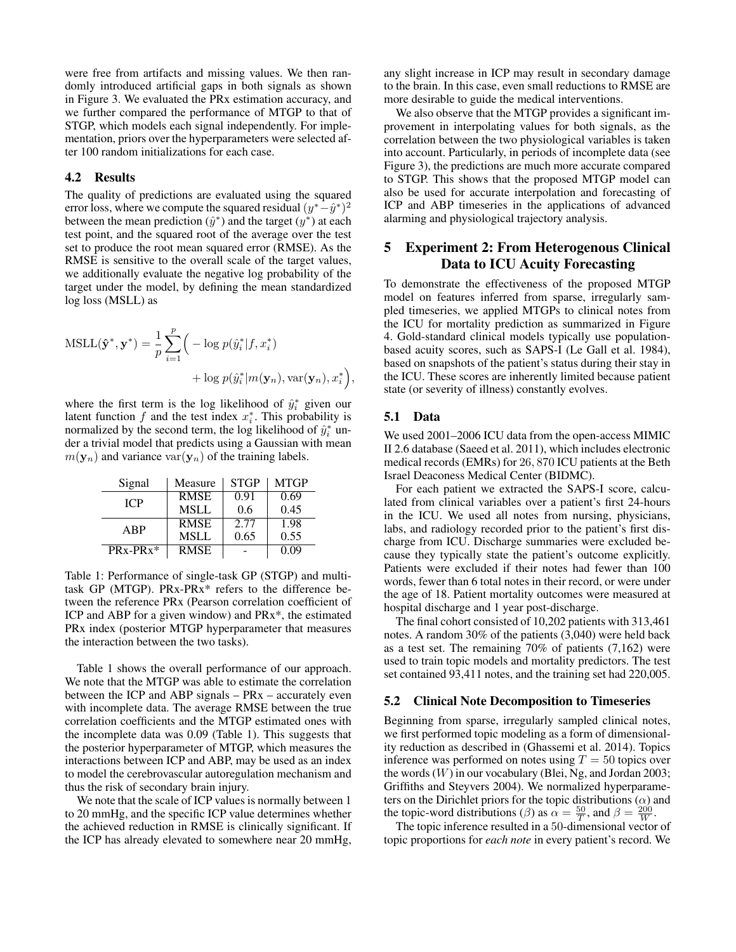were free from artifacts and missing values. We then randomly introduced artificial gaps in both signals as shown in Figure 3. We evaluated the PRx estimation accuracy, and we further compared the performance of MTGP to that of STGP, which models each signal independently. For implementation, priors over the hyperparameters were selected after 100 random initializations for each case.

## 4.2 Results

The quality of predictions are evaluated using the squared error loss, where we compute the squared residual  $(y^*-\hat{y}^*)^2$ between the mean prediction  $(\hat{y}^*)$  and the target  $(y^*)$  at each test point, and the squared root of the average over the test set to produce the root mean squared error (RMSE). As the RMSE is sensitive to the overall scale of the target values, we additionally evaluate the negative log probability of the target under the model, by defining the mean standardized log loss (MSLL) as

$$
MSLL(\hat{\mathbf{y}}^*, \mathbf{y}^*) = \frac{1}{p} \sum_{i=1}^p \left( -\log p(\hat{y}_i^* | f, x_i^*) + \log p(\hat{y}_i^* | m(\mathbf{y}_n), \text{var}(\mathbf{y}_n), x_i^*) \right),
$$

where the first term is the log likelihood of  $\hat{y}_i^*$  given our latent function  $f$  and the test index  $x_i^*$ . This probability is normalized by the second term, the log likelihood of  $\hat{y}_i^*$  under a trivial model that predicts using a Gaussian with mean  $m(\mathbf{y}_n)$  and variance var $(\mathbf{y}_n)$  of the training labels.

| Signal     | Measure     | <b>STGP</b> | <b>MTGP</b> |
|------------|-------------|-------------|-------------|
| <b>ICP</b> | <b>RMSE</b> | 0.91        | 0.69        |
|            | <b>MSLL</b> | 0.6         | 0.45        |
| ABP        | <b>RMSE</b> | 2.77        | 1.98        |
|            | <b>MSLL</b> | 0.65        | 0.55        |
| $PRx-PRx*$ | RMSE        |             | 0.09        |

Table 1: Performance of single-task GP (STGP) and multitask GP (MTGP). PRx-PRx\* refers to the difference between the reference PRx (Pearson correlation coefficient of ICP and ABP for a given window) and PRx\*, the estimated PRx index (posterior MTGP hyperparameter that measures the interaction between the two tasks).

Table 1 shows the overall performance of our approach. We note that the MTGP was able to estimate the correlation between the ICP and ABP signals – PRx – accurately even with incomplete data. The average RMSE between the true correlation coefficients and the MTGP estimated ones with the incomplete data was 0.09 (Table 1). This suggests that the posterior hyperparameter of MTGP, which measures the interactions between ICP and ABP, may be used as an index to model the cerebrovascular autoregulation mechanism and thus the risk of secondary brain injury.

We note that the scale of ICP values is normally between 1 to 20 mmHg, and the specific ICP value determines whether the achieved reduction in RMSE is clinically significant. If the ICP has already elevated to somewhere near 20 mmHg,

any slight increase in ICP may result in secondary damage to the brain. In this case, even small reductions to RMSE are more desirable to guide the medical interventions.

We also observe that the MTGP provides a significant improvement in interpolating values for both signals, as the correlation between the two physiological variables is taken into account. Particularly, in periods of incomplete data (see Figure 3), the predictions are much more accurate compared to STGP. This shows that the proposed MTGP model can also be used for accurate interpolation and forecasting of ICP and ABP timeseries in the applications of advanced alarming and physiological trajectory analysis.

# 5 Experiment 2: From Heterogenous Clinical Data to ICU Acuity Forecasting

To demonstrate the effectiveness of the proposed MTGP model on features inferred from sparse, irregularly sampled timeseries, we applied MTGPs to clinical notes from the ICU for mortality prediction as summarized in Figure 4. Gold-standard clinical models typically use populationbased acuity scores, such as SAPS-I (Le Gall et al. 1984), based on snapshots of the patient's status during their stay in the ICU. These scores are inherently limited because patient state (or severity of illness) constantly evolves.

# 5.1 Data

We used 2001–2006 ICU data from the open-access MIMIC II 2.6 database (Saeed et al. 2011), which includes electronic medical records (EMRs) for 26, 870 ICU patients at the Beth Israel Deaconess Medical Center (BIDMC).

For each patient we extracted the SAPS-I score, calculated from clinical variables over a patient's first 24-hours in the ICU. We used all notes from nursing, physicians, labs, and radiology recorded prior to the patient's first discharge from ICU. Discharge summaries were excluded because they typically state the patient's outcome explicitly. Patients were excluded if their notes had fewer than 100 words, fewer than 6 total notes in their record, or were under the age of 18. Patient mortality outcomes were measured at hospital discharge and 1 year post-discharge.

The final cohort consisted of 10,202 patients with 313,461 notes. A random 30% of the patients (3,040) were held back as a test set. The remaining 70% of patients (7,162) were used to train topic models and mortality predictors. The test set contained 93,411 notes, and the training set had 220,005.

#### 5.2 Clinical Note Decomposition to Timeseries

Beginning from sparse, irregularly sampled clinical notes, we first performed topic modeling as a form of dimensionality reduction as described in (Ghassemi et al. 2014). Topics inference was performed on notes using  $T = 50$  topics over the words  $(W)$  in our vocabulary (Blei, Ng, and Jordan 2003; Griffiths and Steyvers 2004). We normalized hyperparameters on the Dirichlet priors for the topic distributions  $(\alpha)$  and the topic-word distributions ( $\beta$ ) as  $\alpha = \frac{50}{T}$ , and  $\beta = \frac{200}{W}$ .

The topic inference resulted in a 50-dimensional vector of topic proportions for *each note* in every patient's record. We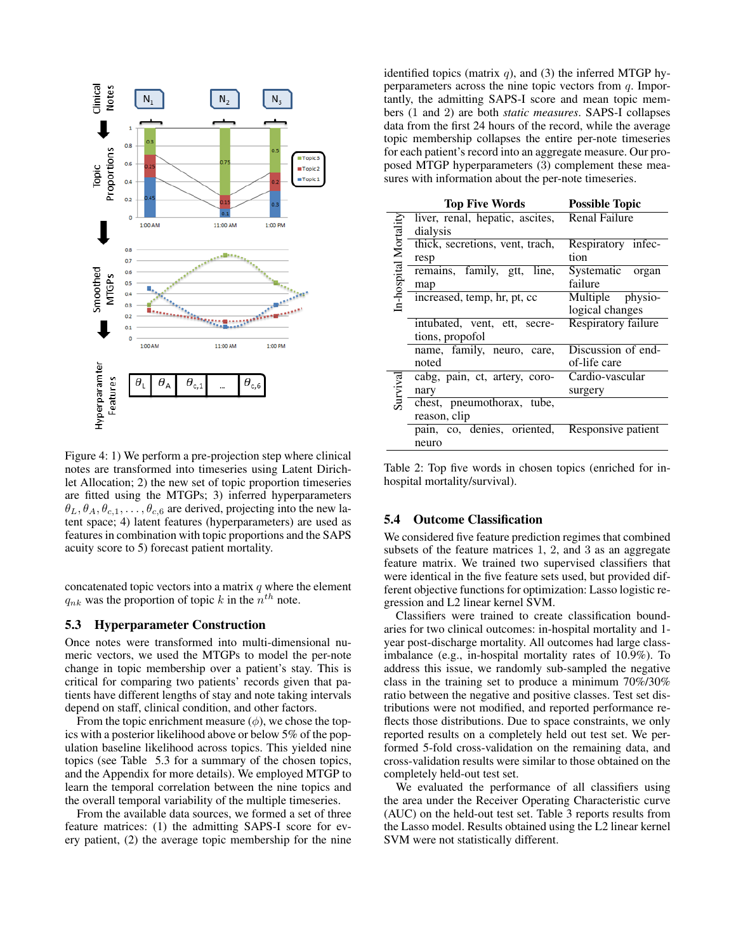

Figure 4: 1) We perform a pre-projection step where clinical notes are transformed into timeseries using Latent Dirichlet Allocation; 2) the new set of topic proportion timeseries are fitted using the MTGPs; 3) inferred hyperparameters  $\theta_L, \theta_A, \theta_{c,1}, \dots, \theta_{c,6}$  are derived, projecting into the new latent space; 4) latent features (hyperparameters) are used as features in combination with topic proportions and the SAPS acuity score to 5) forecast patient mortality.

concatenated topic vectors into a matrix  $q$  where the element  $q_{nk}$  was the proportion of topic k in the  $n^{th}$  note.

#### 5.3 Hyperparameter Construction

Once notes were transformed into multi-dimensional numeric vectors, we used the MTGPs to model the per-note change in topic membership over a patient's stay. This is critical for comparing two patients' records given that patients have different lengths of stay and note taking intervals depend on staff, clinical condition, and other factors.

From the topic enrichment measure  $(\phi)$ , we chose the topics with a posterior likelihood above or below 5% of the population baseline likelihood across topics. This yielded nine topics (see Table 5.3 for a summary of the chosen topics, and the Appendix for more details). We employed MTGP to learn the temporal correlation between the nine topics and the overall temporal variability of the multiple timeseries.

From the available data sources, we formed a set of three feature matrices: (1) the admitting SAPS-I score for every patient, (2) the average topic membership for the nine identified topics (matrix  $q$ ), and (3) the inferred MTGP hyperparameters across the nine topic vectors from  $q$ . Importantly, the admitting SAPS-I score and mean topic members (1 and 2) are both *static measures*. SAPS-I collapses data from the first 24 hours of the record, while the average topic membership collapses the entire per-note timeseries for each patient's record into an aggregate measure. Our proposed MTGP hyperparameters (3) complement these measures with information about the per-note timeseries.

| <b>Top Five Words</b> |                                 | <b>Possible Topic</b> |  |
|-----------------------|---------------------------------|-----------------------|--|
| In-hospital Mortality | liver, renal, hepatic, ascites, | Renal Failure         |  |
|                       | dialysis                        |                       |  |
|                       | thick, secretions, vent, trach, | Respiratory infec-    |  |
|                       | resp                            | tion                  |  |
|                       | remains, family, gtt,<br>line,  | Systematic organ      |  |
|                       | map                             | failure               |  |
|                       | increased, temp, hr, pt, cc     | Multiple physio-      |  |
|                       |                                 | logical changes       |  |
|                       | intubated, vent, ett, secre-    | Respiratory failure   |  |
|                       | tions, propofol                 |                       |  |
|                       | name, family, neuro, care,      | Discussion of end-    |  |
|                       | noted                           | of-life care          |  |
| Survival              | cabg, pain, ct, artery, coro-   | Cardio-vascular       |  |
|                       | nary                            | surgery               |  |
|                       | chest, pneumothorax, tube,      |                       |  |
|                       | reason, clip                    |                       |  |
|                       | pain, co, denies, oriented,     | Responsive patient    |  |
|                       | neuro                           |                       |  |

Table 2: Top five words in chosen topics (enriched for inhospital mortality/survival).

#### 5.4 Outcome Classification

We considered five feature prediction regimes that combined subsets of the feature matrices 1, 2, and 3 as an aggregate feature matrix. We trained two supervised classifiers that were identical in the five feature sets used, but provided different objective functions for optimization: Lasso logistic regression and L2 linear kernel SVM.

Classifiers were trained to create classification boundaries for two clinical outcomes: in-hospital mortality and 1 year post-discharge mortality. All outcomes had large classimbalance (e.g., in-hospital mortality rates of 10.9%). To address this issue, we randomly sub-sampled the negative class in the training set to produce a minimum 70%/30% ratio between the negative and positive classes. Test set distributions were not modified, and reported performance reflects those distributions. Due to space constraints, we only reported results on a completely held out test set. We performed 5-fold cross-validation on the remaining data, and cross-validation results were similar to those obtained on the completely held-out test set.

We evaluated the performance of all classifiers using the area under the Receiver Operating Characteristic curve (AUC) on the held-out test set. Table 3 reports results from the Lasso model. Results obtained using the L2 linear kernel SVM were not statistically different.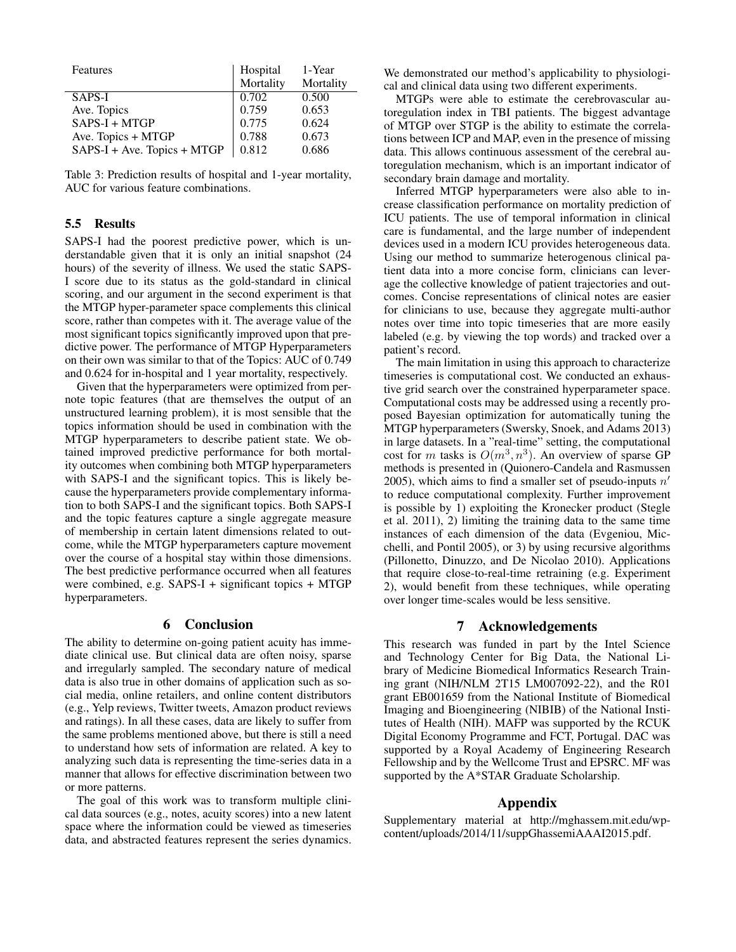| Features                    | Hospital  | 1-Year    |
|-----------------------------|-----------|-----------|
|                             | Mortality | Mortality |
| SAPS-I                      | 0.702     | 0.500     |
| Ave. Topics                 | 0.759     | 0.653     |
| $SAPS-I + MTGP$             | 0.775     | 0.624     |
| Ave. Topics + MTGP          | 0.788     | 0.673     |
| SAPS-I + Ave. Topics + MTGP | 0.812     | 0.686     |

Table 3: Prediction results of hospital and 1-year mortality, AUC for various feature combinations.

## 5.5 Results

SAPS-I had the poorest predictive power, which is understandable given that it is only an initial snapshot (24 hours) of the severity of illness. We used the static SAPS-I score due to its status as the gold-standard in clinical scoring, and our argument in the second experiment is that the MTGP hyper-parameter space complements this clinical score, rather than competes with it. The average value of the most significant topics significantly improved upon that predictive power. The performance of MTGP Hyperparameters on their own was similar to that of the Topics: AUC of 0.749 and 0.624 for in-hospital and 1 year mortality, respectively.

Given that the hyperparameters were optimized from pernote topic features (that are themselves the output of an unstructured learning problem), it is most sensible that the topics information should be used in combination with the MTGP hyperparameters to describe patient state. We obtained improved predictive performance for both mortality outcomes when combining both MTGP hyperparameters with SAPS-I and the significant topics. This is likely because the hyperparameters provide complementary information to both SAPS-I and the significant topics. Both SAPS-I and the topic features capture a single aggregate measure of membership in certain latent dimensions related to outcome, while the MTGP hyperparameters capture movement over the course of a hospital stay within those dimensions. The best predictive performance occurred when all features were combined, e.g. SAPS-I + significant topics + MTGP hyperparameters.

## 6 Conclusion

The ability to determine on-going patient acuity has immediate clinical use. But clinical data are often noisy, sparse and irregularly sampled. The secondary nature of medical data is also true in other domains of application such as social media, online retailers, and online content distributors (e.g., Yelp reviews, Twitter tweets, Amazon product reviews and ratings). In all these cases, data are likely to suffer from the same problems mentioned above, but there is still a need to understand how sets of information are related. A key to analyzing such data is representing the time-series data in a manner that allows for effective discrimination between two or more patterns.

The goal of this work was to transform multiple clinical data sources (e.g., notes, acuity scores) into a new latent space where the information could be viewed as timeseries data, and abstracted features represent the series dynamics.

We demonstrated our method's applicability to physiological and clinical data using two different experiments.

MTGPs were able to estimate the cerebrovascular autoregulation index in TBI patients. The biggest advantage of MTGP over STGP is the ability to estimate the correlations between ICP and MAP, even in the presence of missing data. This allows continuous assessment of the cerebral autoregulation mechanism, which is an important indicator of secondary brain damage and mortality.

Inferred MTGP hyperparameters were also able to increase classification performance on mortality prediction of ICU patients. The use of temporal information in clinical care is fundamental, and the large number of independent devices used in a modern ICU provides heterogeneous data. Using our method to summarize heterogenous clinical patient data into a more concise form, clinicians can leverage the collective knowledge of patient trajectories and outcomes. Concise representations of clinical notes are easier for clinicians to use, because they aggregate multi-author notes over time into topic timeseries that are more easily labeled (e.g. by viewing the top words) and tracked over a patient's record.

The main limitation in using this approach to characterize timeseries is computational cost. We conducted an exhaustive grid search over the constrained hyperparameter space. Computational costs may be addressed using a recently proposed Bayesian optimization for automatically tuning the MTGP hyperparameters (Swersky, Snoek, and Adams 2013) in large datasets. In a "real-time" setting, the computational cost for m tasks is  $O(m^3, n^3)$ . An overview of sparse GP methods is presented in (Quionero-Candela and Rasmussen 2005), which aims to find a smaller set of pseudo-inputs  $n'$ to reduce computational complexity. Further improvement is possible by 1) exploiting the Kronecker product (Stegle et al. 2011), 2) limiting the training data to the same time instances of each dimension of the data (Evgeniou, Micchelli, and Pontil 2005), or 3) by using recursive algorithms (Pillonetto, Dinuzzo, and De Nicolao 2010). Applications that require close-to-real-time retraining (e.g. Experiment 2), would benefit from these techniques, while operating over longer time-scales would be less sensitive.

## 7 Acknowledgements

This research was funded in part by the Intel Science and Technology Center for Big Data, the National Library of Medicine Biomedical Informatics Research Training grant (NIH/NLM 2T15 LM007092-22), and the R01 grant EB001659 from the National Institute of Biomedical Imaging and Bioengineering (NIBIB) of the National Institutes of Health (NIH). MAFP was supported by the RCUK Digital Economy Programme and FCT, Portugal. DAC was supported by a Royal Academy of Engineering Research Fellowship and by the Wellcome Trust and EPSRC. MF was supported by the A\*STAR Graduate Scholarship.

## Appendix

Supplementary material at http://mghassem.mit.edu/wpcontent/uploads/2014/11/suppGhassemiAAAI2015.pdf.